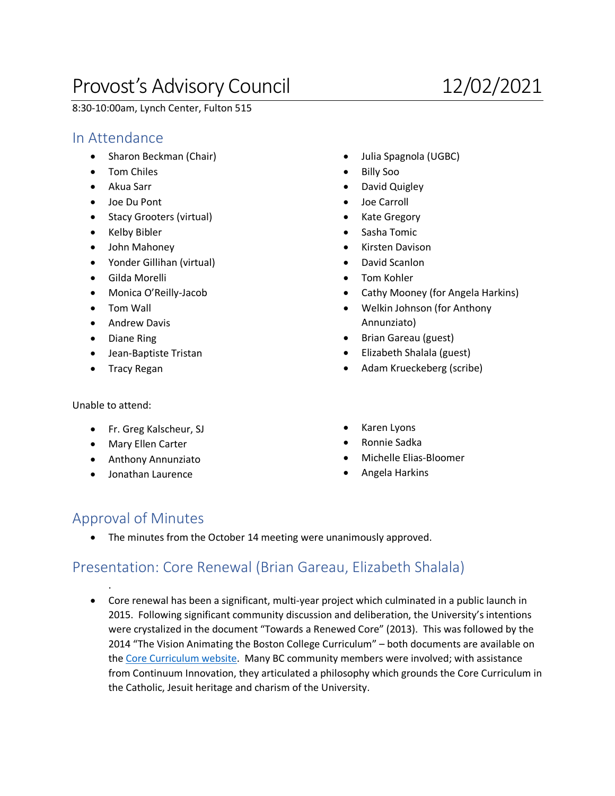# Provost's Advisory Council 12/02/2021

8:30-10:00am, Lynch Center, Fulton 515

#### In Attendance

- Sharon Beckman (Chair)
- Tom Chiles
- Akua Sarr
- Joe Du Pont
- Stacy Grooters (virtual)
- Kelby Bibler
- John Mahoney
- Yonder Gillihan (virtual)
- Gilda Morelli
- Monica O'Reilly-Jacob
- Tom Wall
- Andrew Davis
- Diane Ring
- Jean-Baptiste Tristan
- Tracy Regan

Unable to attend:

.

- Fr. Greg Kalscheur, SJ
- Mary Ellen Carter
- Anthony Annunziato
- Jonathan Laurence
- Julia Spagnola (UGBC)
- Billy Soo
- David Quigley
- Joe Carroll
- Kate Gregory
- Sasha Tomic
- Kirsten Davison
- David Scanlon
- Tom Kohler
- Cathy Mooney (for Angela Harkins)
- Welkin Johnson (for Anthony Annunziato)
- Brian Gareau (guest)
- Elizabeth Shalala (guest)
- Adam Krueckeberg (scribe)
- Karen Lyons
- Ronnie Sadka
- Michelle Elias-Bloomer
- Angela Harkins

#### Approval of Minutes

• The minutes from the October 14 meeting were unanimously approved.

### Presentation: Core Renewal (Brian Gareau, Elizabeth Shalala)

• Core renewal has been a significant, multi-year project which culminated in a public launch in 2015. Following significant community discussion and deliberation, the University's intentions were crystalized in the document "Towards a Renewed Core" (2013). This was followed by the 2014 "The Vision Animating the Boston College Curriculum" – both documents are available on the Core Curriculum website. Many BC community members were involved; with assistance from Continuum Innovation, they articulated a philosophy which grounds the Core Curriculum in the Catholic, Jesuit heritage and charism of the University.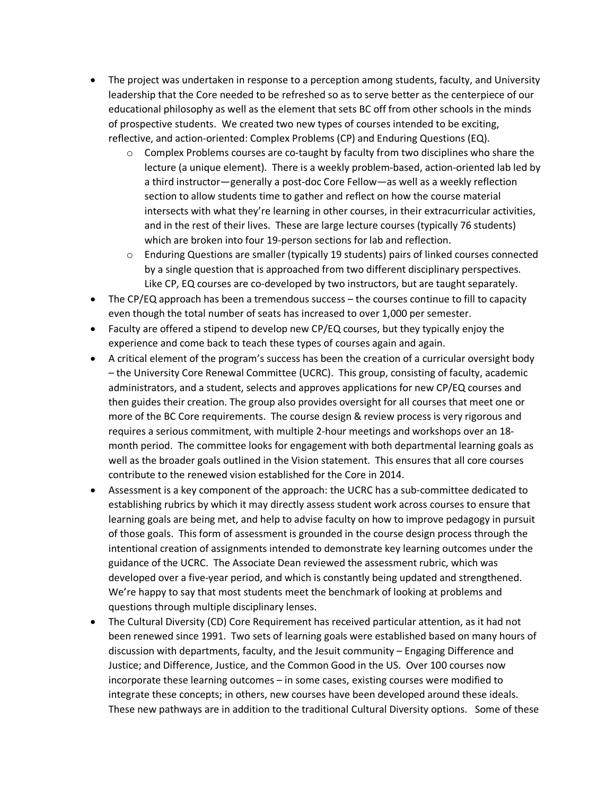- The project was undertaken in response to a perception among students, faculty, and University leadership that the Core needed to be refreshed so as to serve better as the centerpiece of our educational philosophy as well as the element that sets BC off from other schools in the minds of prospective students. We created two new types of courses intended to be exciting, reflective, and action-oriented: Complex Problems (CP) and Enduring Questions (EQ).
	- $\circ$  Complex Problems courses are co-taught by faculty from two disciplines who share the lecture (a unique element). There is a weekly problem-based, action-oriented lab led by a third instructor—generally a post-doc Core Fellow—as well as a weekly reflection section to allow students time to gather and reflect on how the course material intersects with what they're learning in other courses, in their extracurricular activities, and in the rest of their lives. These are large lecture courses (typically 76 students) which are broken into four 19-person sections for lab and reflection.
	- o Enduring Questions are smaller (typically 19 students) pairs of linked courses connected by a single question that is approached from two different disciplinary perspectives. Like CP, EQ courses are co-developed by two instructors, but are taught separately.
- The CP/EQ approach has been a tremendous success the courses continue to fill to capacity even though the total number of seats has increased to over 1,000 per semester.
- Faculty are offered a stipend to develop new CP/EQ courses, but they typically enjoy the experience and come back to teach these types of courses again and again.
- A critical element of the program's success has been the creation of a curricular oversight body – the University Core Renewal Committee (UCRC). This group, consisting of faculty, academic administrators, and a student, selects and approves applications for new CP/EQ courses and then guides their creation. The group also provides oversight for all courses that meet one or more of the BC Core requirements. The course design & review process is very rigorous and requires a serious commitment, with multiple 2-hour meetings and workshops over an 18 month period. The committee looks for engagement with both departmental learning goals as well as the broader goals outlined in the Vision statement. This ensures that all core courses contribute to the renewed vision established for the Core in 2014.
- Assessment is a key component of the approach: the UCRC has a sub-committee dedicated to establishing rubrics by which it may directly assess student work across courses to ensure that learning goals are being met, and help to advise faculty on how to improve pedagogy in pursuit of those goals. This form of assessment is grounded in the course design process through the intentional creation of assignments intended to demonstrate key learning outcomes under the guidance of the UCRC. The Associate Dean reviewed the assessment rubric, which was developed over a five-year period, and which is constantly being updated and strengthened. We're happy to say that most students meet the benchmark of looking at problems and questions through multiple disciplinary lenses.
- The Cultural Diversity (CD) Core Requirement has received particular attention, as it had not been renewed since 1991. Two sets of learning goals were established based on many hours of discussion with departments, faculty, and the Jesuit community – Engaging Difference and Justice; and Difference, Justice, and the Common Good in the US. Over 100 courses now incorporate these learning outcomes – in some cases, existing courses were modified to integrate these concepts; in others, new courses have been developed around these ideals. These new pathways are in addition to the traditional Cultural Diversity options. Some of these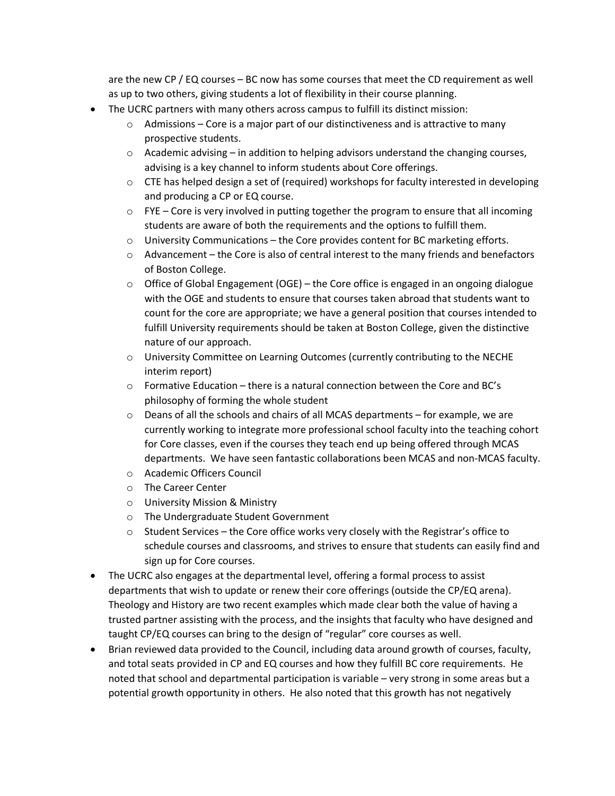are the new CP / EQ courses – BC now has some courses that meet the CD requirement as well as up to two others, giving students a lot of flexibility in their course planning.

- The UCRC partners with many others across campus to fulfill its distinct mission:
	- $\circ$  Admissions Core is a major part of our distinctiveness and is attractive to many prospective students.
	- $\circ$  Academic advising in addition to helping advisors understand the changing courses, advising is a key channel to inform students about Core offerings.
	- $\circ$  CTE has helped design a set of (required) workshops for faculty interested in developing and producing a CP or EQ course.
	- $\circ$  FYE Core is very involved in putting together the program to ensure that all incoming students are aware of both the requirements and the options to fulfill them.
	- $\circ$  University Communications the Core provides content for BC marketing efforts.
	- $\circ$  Advancement the Core is also of central interest to the many friends and benefactors of Boston College.
	- $\circ$  Office of Global Engagement (OGE) the Core office is engaged in an ongoing dialogue with the OGE and students to ensure that courses taken abroad that students want to count for the core are appropriate; we have a general position that courses intended to fulfill University requirements should be taken at Boston College, given the distinctive nature of our approach.
	- o University Committee on Learning Outcomes (currently contributing to the NECHE interim report)
	- o Formative Education there is a natural connection between the Core and BC's philosophy of forming the whole student
	- $\circ$  Deans of all the schools and chairs of all MCAS departments for example, we are currently working to integrate more professional school faculty into the teaching cohort for Core classes, even if the courses they teach end up being offered through MCAS departments. We have seen fantastic collaborations been MCAS and non-MCAS faculty.
	- o Academic Officers Council
	- o The Career Center
	- o University Mission & Ministry
	- o The Undergraduate Student Government
	- $\circ$  Student Services the Core office works very closely with the Registrar's office to schedule courses and classrooms, and strives to ensure that students can easily find and sign up for Core courses.
- The UCRC also engages at the departmental level, offering a formal process to assist departments that wish to update or renew their core offerings (outside the CP/EQ arena). Theology and History are two recent examples which made clear both the value of having a trusted partner assisting with the process, and the insights that faculty who have designed and taught CP/EQ courses can bring to the design of "regular" core courses as well.
- Brian reviewed data provided to the Council, including data around growth of courses, faculty, and total seats provided in CP and EQ courses and how they fulfill BC core requirements. He noted that school and departmental participation is variable – very strong in some areas but a potential growth opportunity in others. He also noted that this growth has not negatively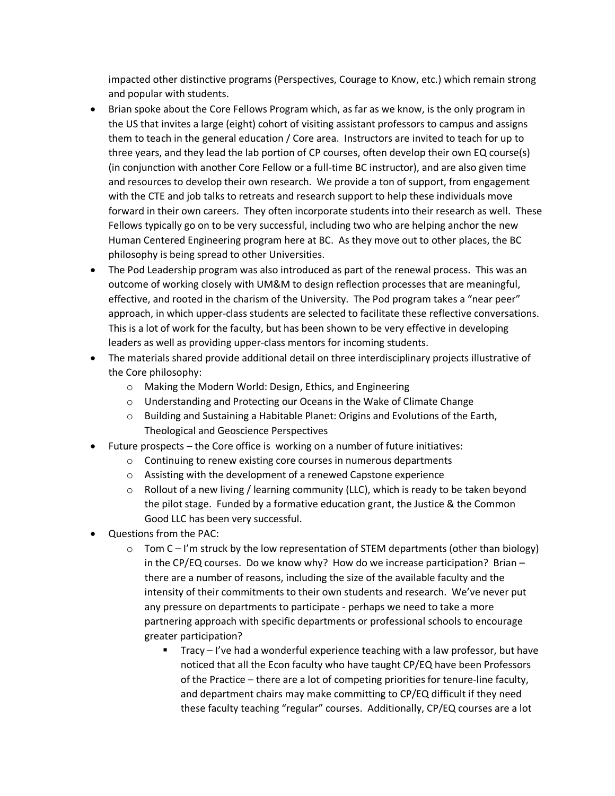impacted other distinctive programs (Perspectives, Courage to Know, etc.) which remain strong and popular with students.

- Brian spoke about the Core Fellows Program which, as far as we know, is the only program in the US that invites a large (eight) cohort of visiting assistant professors to campus and assigns them to teach in the general education / Core area. Instructors are invited to teach for up to three years, and they lead the lab portion of CP courses, often develop their own EQ course(s) (in conjunction with another Core Fellow or a full-time BC instructor), and are also given time and resources to develop their own research. We provide a ton of support, from engagement with the CTE and job talks to retreats and research support to help these individuals move forward in their own careers. They often incorporate students into their research as well. These Fellows typically go on to be very successful, including two who are helping anchor the new Human Centered Engineering program here at BC. As they move out to other places, the BC philosophy is being spread to other Universities.
- The Pod Leadership program was also introduced as part of the renewal process. This was an outcome of working closely with UM&M to design reflection processes that are meaningful, effective, and rooted in the charism of the University. The Pod program takes a "near peer" approach, in which upper-class students are selected to facilitate these reflective conversations. This is a lot of work for the faculty, but has been shown to be very effective in developing leaders as well as providing upper-class mentors for incoming students.
- The materials shared provide additional detail on three interdisciplinary projects illustrative of the Core philosophy:
	- o Making the Modern World: Design, Ethics, and Engineering
	- o Understanding and Protecting our Oceans in the Wake of Climate Change
	- $\circ$  Building and Sustaining a Habitable Planet: Origins and Evolutions of the Earth, Theological and Geoscience Perspectives
- Future prospects the Core office is working on a number of future initiatives:
	- o Continuing to renew existing core courses in numerous departments
	- o Assisting with the development of a renewed Capstone experience
	- $\circ$  Rollout of a new living / learning community (LLC), which is ready to be taken beyond the pilot stage. Funded by a formative education grant, the Justice & the Common Good LLC has been very successful.
- Questions from the PAC:
	- $\circ$  Tom C I'm struck by the low representation of STEM departments (other than biology) in the CP/EQ courses. Do we know why? How do we increase participation? Brian – there are a number of reasons, including the size of the available faculty and the intensity of their commitments to their own students and research. We've never put any pressure on departments to participate - perhaps we need to take a more partnering approach with specific departments or professional schools to encourage greater participation?
		- Tracy I've had a wonderful experience teaching with a law professor, but have noticed that all the Econ faculty who have taught CP/EQ have been Professors of the Practice – there are a lot of competing priorities for tenure-line faculty, and department chairs may make committing to CP/EQ difficult if they need these faculty teaching "regular" courses. Additionally, CP/EQ courses are a lot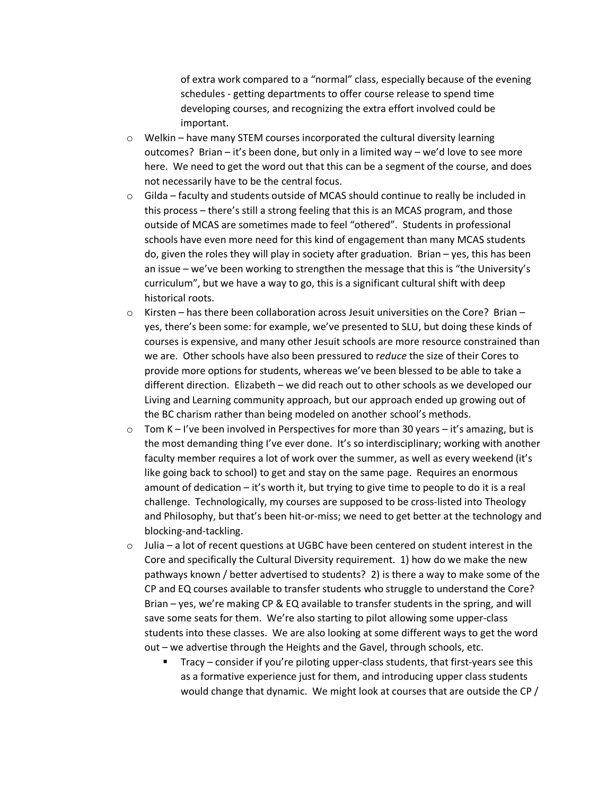of extra work compared to a "normal" class, especially because of the evening schedules - getting departments to offer course release to spend time developing courses, and recognizing the extra effort involved could be important.

- o Welkin have many STEM courses incorporated the cultural diversity learning outcomes? Brian – it's been done, but only in a limited way – we'd love to see more here. We need to get the word out that this can be a segment of the course, and does not necessarily have to be the central focus.
- $\circ$  Gilda faculty and students outside of MCAS should continue to really be included in this process – there's still a strong feeling that this is an MCAS program, and those outside of MCAS are sometimes made to feel "othered". Students in professional schools have even more need for this kind of engagement than many MCAS students do, given the roles they will play in society after graduation. Brian – yes, this has been an issue – we've been working to strengthen the message that this is "the University's curriculum", but we have a way to go, this is a significant cultural shift with deep historical roots.
- $\circ$  Kirsten has there been collaboration across Jesuit universities on the Core? Brian yes, there's been some: for example, we've presented to SLU, but doing these kinds of courses is expensive, and many other Jesuit schools are more resource constrained than we are. Other schools have also been pressured to r*educe* the size of their Cores to provide more options for students, whereas we've been blessed to be able to take a different direction. Elizabeth – we did reach out to other schools as we developed our Living and Learning community approach, but our approach ended up growing out of the BC charism rather than being modeled on another school's methods.
- $\circ$  Tom K I've been involved in Perspectives for more than 30 years it's amazing, but is the most demanding thing I've ever done. It's so interdisciplinary; working with another faculty member requires a lot of work over the summer, as well as every weekend (it's like going back to school) to get and stay on the same page. Requires an enormous amount of dedication – it's worth it, but trying to give time to people to do it is a real challenge. Technologically, my courses are supposed to be cross-listed into Theology and Philosophy, but that's been hit-or-miss; we need to get better at the technology and blocking-and-tackling.
- $\circ$  Julia a lot of recent questions at UGBC have been centered on student interest in the Core and specifically the Cultural Diversity requirement. 1) how do we make the new pathways known / better advertised to students? 2) is there a way to make some of the CP and EQ courses available to transfer students who struggle to understand the Core? Brian – yes, we're making CP & EQ available to transfer students in the spring, and will save some seats for them. We're also starting to pilot allowing some upper-class students into these classes. We are also looking at some different ways to get the word out – we advertise through the Heights and the Gavel, through schools, etc.
	- Tracy consider if you're piloting upper-class students, that first-years see this as a formative experience just for them, and introducing upper class students would change that dynamic. We might look at courses that are outside the CP /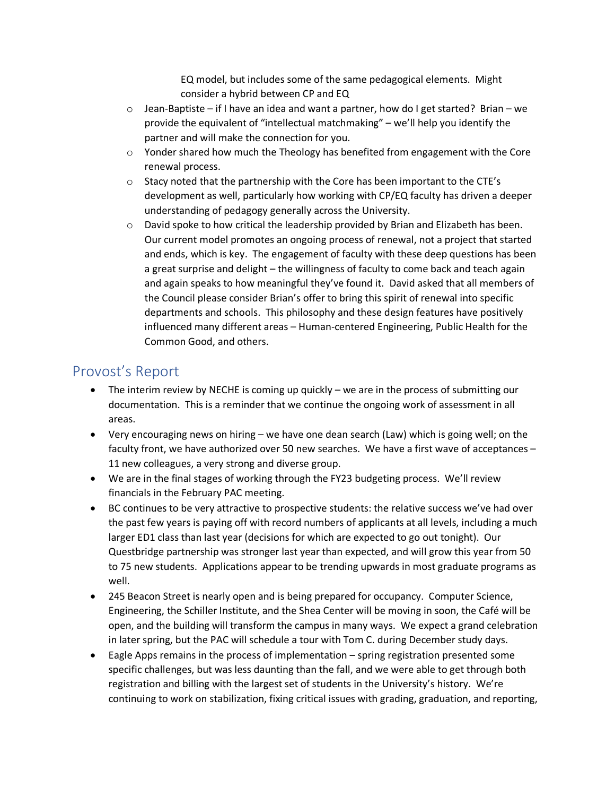EQ model, but includes some of the same pedagogical elements. Might consider a hybrid between CP and EQ

- $\circ$  Jean-Baptiste if I have an idea and want a partner, how do I get started? Brian we provide the equivalent of "intellectual matchmaking" – we'll help you identify the partner and will make the connection for you.
- o Yonder shared how much the Theology has benefited from engagement with the Core renewal process.
- o Stacy noted that the partnership with the Core has been important to the CTE's development as well, particularly how working with CP/EQ faculty has driven a deeper understanding of pedagogy generally across the University.
- $\circ$  David spoke to how critical the leadership provided by Brian and Elizabeth has been. Our current model promotes an ongoing process of renewal, not a project that started and ends, which is key. The engagement of faculty with these deep questions has been a great surprise and delight – the willingness of faculty to come back and teach again and again speaks to how meaningful they've found it. David asked that all members of the Council please consider Brian's offer to bring this spirit of renewal into specific departments and schools. This philosophy and these design features have positively influenced many different areas – Human-centered Engineering, Public Health for the Common Good, and others.

## Provost's Report

- The interim review by NECHE is coming up quickly we are in the process of submitting our documentation. This is a reminder that we continue the ongoing work of assessment in all areas.
- Very encouraging news on hiring we have one dean search (Law) which is going well; on the faculty front, we have authorized over 50 new searches. We have a first wave of acceptances – 11 new colleagues, a very strong and diverse group.
- We are in the final stages of working through the FY23 budgeting process. We'll review financials in the February PAC meeting.
- BC continues to be very attractive to prospective students: the relative success we've had over the past few years is paying off with record numbers of applicants at all levels, including a much larger ED1 class than last year (decisions for which are expected to go out tonight). Our Questbridge partnership was stronger last year than expected, and will grow this year from 50 to 75 new students. Applications appear to be trending upwards in most graduate programs as well.
- 245 Beacon Street is nearly open and is being prepared for occupancy. Computer Science, Engineering, the Schiller Institute, and the Shea Center will be moving in soon, the Café will be open, and the building will transform the campus in many ways. We expect a grand celebration in later spring, but the PAC will schedule a tour with Tom C. during December study days.
- Eagle Apps remains in the process of implementation spring registration presented some specific challenges, but was less daunting than the fall, and we were able to get through both registration and billing with the largest set of students in the University's history. We're continuing to work on stabilization, fixing critical issues with grading, graduation, and reporting,